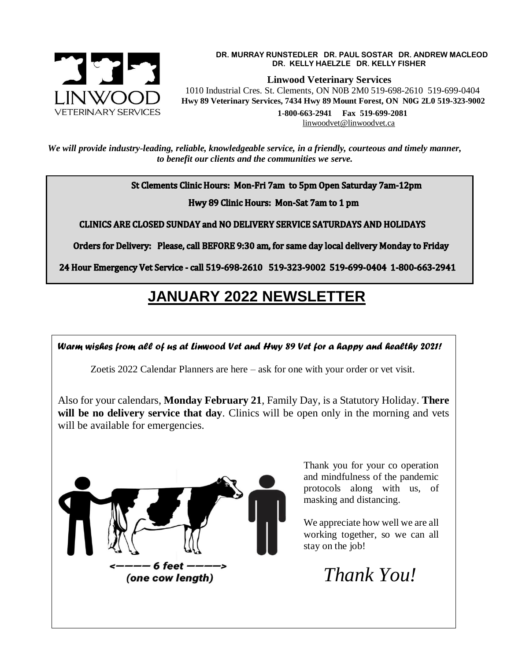

## **DR. MURRAY RUNSTEDLER DR. PAUL SOSTAR DR. ANDREW MACLEOD DR. KELLY HAELZLE DR. KELLY FISHER**

 **Linwood Veterinary Services** 1010 Industrial Cres. St. Clements, ON N0B 2M0 519-698-2610 519-699-0404  **Hwy 89 Veterinary Services, 7434 Hwy 89 Mount Forest, ON N0G 2L0 519-323-9002 1-800-663-2941 Fax 519-699-2081** [linwoodvet@linwoodvet.ca](mailto:linwoodvet@linwoodvet.ca) 

*We will provide industry-leading, reliable, knowledgeable service, in a friendly, courteous and timely manner, to benefit our clients and the communities we serve.*

St Clements Clinic Hours: Mon-Fri 7am to 5pm Open Saturday 7am-12pm

Hwy 89 Clinic Hours: Mon-Sat 7am to 1 pm

**CLINICS ARE CLOSED SUNDAY and NO DELIVERY SERVICE SATURDAYS AND HOLIDAYS** 

Orders for Delivery: Please, call BEFORE 9:30 am, for same day local delivery Monday to Friday

24 Hour Emergency Vet Service - call 519-698-2610 519-323-9002 519-699-0404 1-800-663-2941

## **JANUARY 2022 NEWSLETTER**

*Warm wishes from all of us at Linwood Vet and Hwy 89 Vet for a happy and healthy 2021!*

Zoetis 2022 Calendar Planners are here – ask for one with your order or vet visit.

Also for your calendars, **Monday February 21**, Family Day, is a Statutory Holiday. **There**  will be no delivery service that day. Clinics will be open only in the morning and vets will be available for emergencies.



Thank you for your co operation and mindfulness of the pandemic protocols along with us, of masking and distancing.

We appreciate how well we are all working together, so we can all stay on the job!

 *Thank You!*